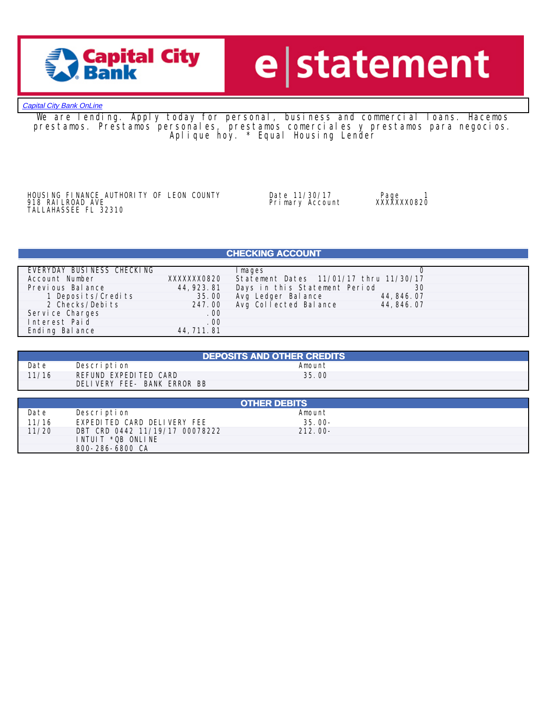

## e statement

### **[Capital City Bank OnLine](https://www.ccbg.com)**

We are lending. Apply today for personal, business and commercial loans. Hacemos prestamos. Prestamos personales, prestamos comerciales y prestamos para negocios. Aplique hoy. \* Equal Housing Lender

HOUSING FINANCE AUTHORITY OF LEON COUNTY 10 Date 11/30/17 1999 Page 1<br>918 RAILROAD AVE 1999 Primary Account 2XXXXXXX0820 THE RAILROAD AVE<br>TALLAHASSEE FL 32310

ا918 Bally 30/17<br>Primary Account

## **CHECKING ACCOUNT**

| EVERYDAY BUSINESS CHECKING |             | Images                                  |             |
|----------------------------|-------------|-----------------------------------------|-------------|
| Account Number             | XXXXXXX0820 | Statement Dates 11/01/17 thru 11/30/17  |             |
| Previous Balance           |             | 44,923.81 Days in this Statement Period | -30         |
| 1 Deposits/Credits         | 35.00       | Avg Ledger Balance                      | 44, 846, 07 |
| 2 Checks/Debits            |             | 247.00 Avg Collected Balance            | 44, 846, 07 |
| Service Charges            | . 00        |                                         |             |
| Interest Paid              | . 00        |                                         |             |
| Ending Balance             | 44, 711, 81 |                                         |             |

| <b>DEPOSITS AND OTHER CREDITS</b> |                             |        |  |  |  |
|-----------------------------------|-----------------------------|--------|--|--|--|
| Date                              | Description                 | Amount |  |  |  |
| 11/16                             | REFUND EXPEDITED CARD       | 35.00  |  |  |  |
|                                   | DELIVERY FEE- BANK ERROR BB |        |  |  |  |

|       | <b>OTHER DEBITS</b>            |            |  |  |  |  |
|-------|--------------------------------|------------|--|--|--|--|
| Date  | Description                    | Amount     |  |  |  |  |
| 11/16 | EXPEDITED CARD DELIVERY FEE    | $35.00 -$  |  |  |  |  |
| 11/20 | DBT CRD 0442 11/19/17 00078222 | $212.00 -$ |  |  |  |  |
|       | INTUIT *OB ONLINE              |            |  |  |  |  |
|       | 800-286-6800 CA                |            |  |  |  |  |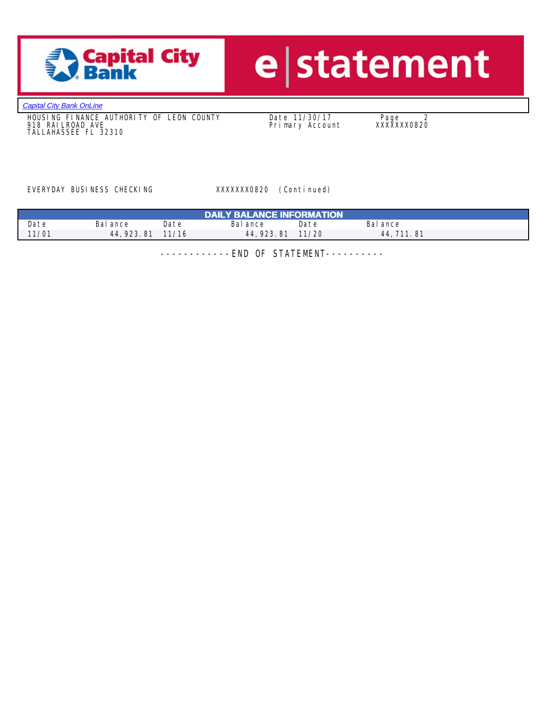

# e statement

**[Capital City Bank OnLine](https://www.ccbg.com)** 

 HOUSING FINANCE AUTHORITY OF LEON COUNTY Date 11/30/17 Page 2 918 RAILROAD AVE Primary Account XXXXXXX0820 TALLAHASSEE FL 32310

EVERYDAY BUSINESS CHECKING XXXXXXXX0820 (Continued)

| <b>DAILY BALANCE INFORMATION</b> |             |       |             |       |             |  |
|----------------------------------|-------------|-------|-------------|-------|-------------|--|
| Date                             | Bal ance    | Date  | Bal ance    | Date  | Bal ance    |  |
| 11/01                            | 44, 923, 81 | 11/16 | 44, 923, 81 | 11/20 | 44, 711, 81 |  |

------------END OF STATEMENT----------